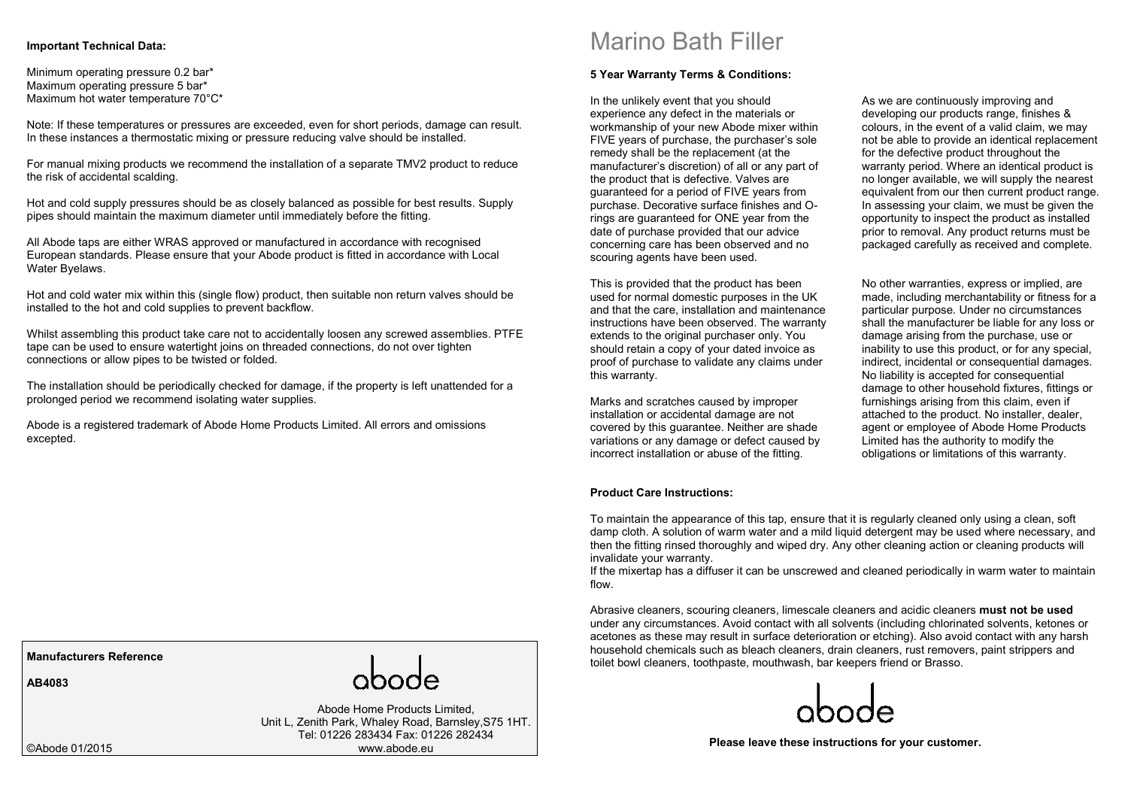### **Important Technical Data:**

Minimum operating pressure 0.2 bar\* Maximum operating pressure 5 bar\* Maximum hot water temperature 70°C\*

Note: If these temperatures or pressures are exceeded, even for short periods, damage can result. In these instances a thermostatic mixing or pressure reducing valve should be installed.

For manual mixing products we recommend the installation of a separate TMV2 product to reduce the risk of accidental scalding.

Hot and cold supply pressures should be as closely balanced as possible for best results. Supply pipes should maintain the maximum diameter until immediately before the fitting.

All Abode taps are either WRAS approved or manufactured in accordance with recognised European standards. Please ensure that your Abode product is fitted in accordance with Local Water Byelaws.

Hot and cold water mix within this (single flow) product, then suitable non return valves should be installed to the hot and cold supplies to prevent backflow.

Whilst assembling this product take care not to accidentally loosen any screwed assemblies. PTFE tape can be used to ensure watertight joins on threaded connections, do not over tighten connections or allow pipes to be twisted or folded.

The installation should be periodically checked for damage, if the property is left unattended for a prolonged period we recommend isolating water supplies.

Abode is a registered trademark of Abode Home Products Limited. All errors and omissions excepted.

Marino Bath Filler

#### **5 Year Warranty Terms & Conditions:**

In the unlikely event that you should experience any defect in the materials or workmanship of your new Abode mixer within FIVE years of purchase, the purchaser's sole remedy shall be the replacement (at the manufacturer's discretion) of all or any part of the product that is defective. Valves are guaranteed for a period of FIVE years from purchase. Decorative surface finishes and Orings are guaranteed for ONE year from the date of purchase provided that our advice concerning care has been observed and no scouring agents have been used.

This is provided that the product has been used for normal domestic purposes in the UK and that the care, installation and maintenance instructions have been observed. The warranty extends to the original purchaser only. You should retain a copy of your dated invoice as proof of purchase to validate any claims under this warranty.

Marks and scratches caused by improper installation or accidental damage are not covered by this guarantee. Neither are shade variations or any damage or defect caused by incorrect installation or abuse of the fitting.

#### **Product Care Instructions:**

As we are continuously improving and developing our products range, finishes & colours, in the event of a valid claim, we may not be able to provide an identical replacement for the defective product throughout the warranty period. Where an identical product is no longer available, we will supply the nearest equivalent from our then current product range. In assessing your claim, we must be given the opportunity to inspect the product as installed prior to removal. Any product returns must be packaged carefully as received and complete.

No other warranties, express or implied, are made, including merchantability or fitness for a particular purpose. Under no circumstances shall the manufacturer be liable for any loss or damage arising from the purchase, use or inability to use this product, or for any special, indirect, incidental or consequential damages. No liability is accepted for consequential damage to other household fixtures, fittings or furnishings arising from this claim, even if attached to the product. No installer, dealer, agent or employee of Abode Home Products Limited has the authority to modify the obligations or limitations of this warranty.

To maintain the appearance of this tap, ensure that it is regularly cleaned only using a clean, soft damp cloth. A solution of warm water and a mild liquid detergent may be used where necessary, and then the fitting rinsed thoroughly and wiped dry. Any other cleaning action or cleaning products will invalidate your warranty.

If the mixertap has a diffuser it can be unscrewed and cleaned periodically in warm water to maintain flow.

Abrasive cleaners, scouring cleaners, limescale cleaners and acidic cleaners **must not be used**  under any circumstances. Avoid contact with all solvents (including chlorinated solvents, ketones or acetones as these may result in surface deterioration or etching). Also avoid contact with any harsh household chemicals such as bleach cleaners, drain cleaners, rust removers, paint strippers and toilet bowl cleaners, toothpaste, mouthwash, bar keepers friend or Brasso.



**Please leave these instructions for your customer.** 

**Manufacturers Reference** 

**AB4083** 

Abode Home Products Limited, Unit L, Zenith Park, Whaley Road, Barnsley,S75 1HT.Tel: 01226 283434 Fax: 01226 282434 www.abode.eu

©Abode 01/2015